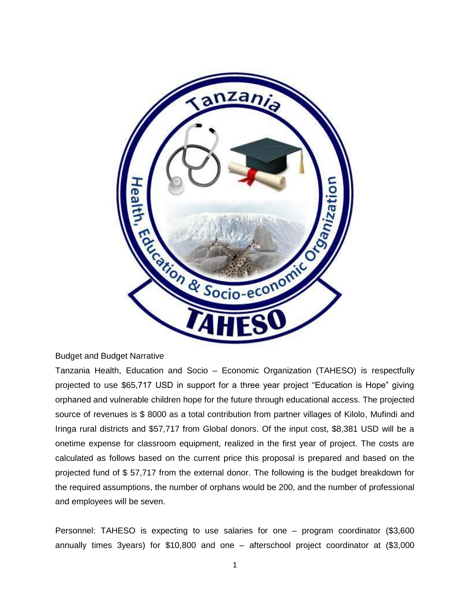

#### Budget and Budget Narrative

Tanzania Health, Education and Socio – Economic Organization (TAHESO) is respectfully projected to use \$65,717 USD in support for a three year project "Education is Hope" giving orphaned and vulnerable children hope for the future through educational access. The projected source of revenues is \$ 8000 as a total contribution from partner villages of Kilolo, Mufindi and Iringa rural districts and \$57,717 from Global donors. Of the input cost, \$8,381 USD will be a onetime expense for classroom equipment, realized in the first year of project. The costs are calculated as follows based on the current price this proposal is prepared and based on the projected fund of \$ 57,717 from the external donor. The following is the budget breakdown for the required assumptions, the number of orphans would be 200, and the number of professional and employees will be seven.

Personnel: TAHESO is expecting to use salaries for one – program coordinator (\$3,600 annually times 3years) for \$10,800 and one – afterschool project coordinator at (\$3,000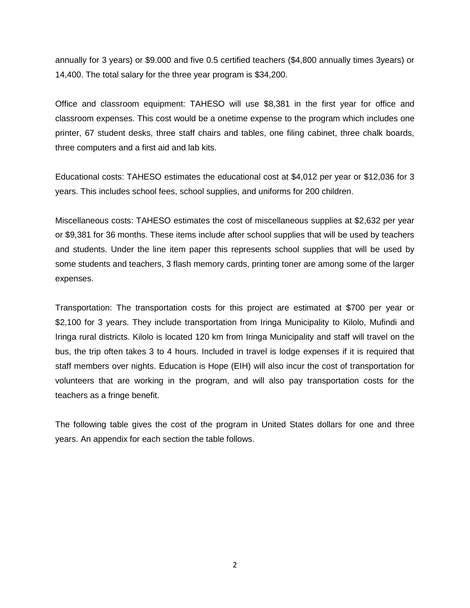annually for 3 years) or \$9.000 and five 0.5 certified teachers (\$4,800 annually times 3years) or 14,400. The total salary for the three year program is \$34,200.

Office and classroom equipment: TAHESO will use \$8,381 in the first year for office and classroom expenses. This cost would be a onetime expense to the program which includes one printer, 67 student desks, three staff chairs and tables, one filing cabinet, three chalk boards, three computers and a first aid and lab kits.

Educational costs: TAHESO estimates the educational cost at \$4,012 per year or \$12,036 for 3 years. This includes school fees, school supplies, and uniforms for 200 children.

Miscellaneous costs: TAHESO estimates the cost of miscellaneous supplies at \$2,632 per year or \$9,381 for 36 months. These items include after school supplies that will be used by teachers and students. Under the line item paper this represents school supplies that will be used by some students and teachers, 3 flash memory cards, printing toner are among some of the larger expenses.

Transportation: The transportation costs for this project are estimated at \$700 per year or \$2,100 for 3 years. They include transportation from Iringa Municipality to Kilolo, Mufindi and Iringa rural districts. Kilolo is located 120 km from Iringa Municipality and staff will travel on the bus, the trip often takes 3 to 4 hours. Included in travel is lodge expenses if it is required that staff members over nights. Education is Hope (EIH) will also incur the cost of transportation for volunteers that are working in the program, and will also pay transportation costs for the teachers as a fringe benefit.

The following table gives the cost of the program in United States dollars for one and three years. An appendix for each section the table follows.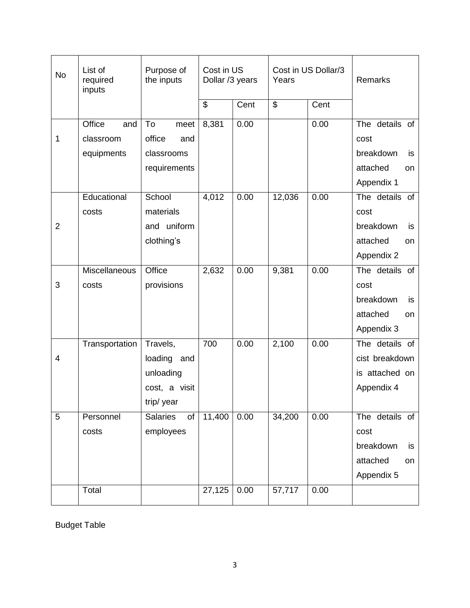| <b>No</b>      | List of<br>required<br>inputs            | Purpose of<br>the inputs                                               | Cost in US<br>Dollar /3 years |      | Cost in US Dollar/3<br>Years |      | Remarks                                                                   |
|----------------|------------------------------------------|------------------------------------------------------------------------|-------------------------------|------|------------------------------|------|---------------------------------------------------------------------------|
|                |                                          |                                                                        | $\overline{\mathbf{e}}$       | Cent | $\overline{\mathcal{E}}$     | Cent |                                                                           |
| 1              | Office<br>and<br>classroom<br>equipments | To<br>meet<br>office<br>and<br>classrooms<br>requirements              | 8,381                         | 0.00 |                              | 0.00 | The details of<br>cost<br>breakdown<br>is<br>attached<br>on<br>Appendix 1 |
| $\overline{2}$ | Educational<br>costs                     | School<br>materials<br>and uniform<br>clothing's                       | 4,012                         | 0.00 | 12,036                       | 0.00 | The details of<br>cost<br>breakdown<br>is<br>attached<br>on<br>Appendix 2 |
| 3              | Miscellaneous<br>costs                   | Office<br>provisions                                                   | 2,632                         | 0.00 | 9,381                        | 0.00 | The details of<br>cost<br>breakdown<br>is<br>attached<br>on<br>Appendix 3 |
| 4              | Transportation                           | Travels,<br>loading<br>and<br>unloading<br>cost, a visit<br>trip/ year | 700                           | 0.00 | 2,100                        | 0.00 | The details of<br>cist breakdown<br>is attached on<br>Appendix 4          |
| 5              | Personnel<br>costs                       | <b>Salaries</b><br>of<br>employees                                     | 11,400                        | 0.00 | 34,200                       | 0.00 | The details of<br>cost<br>breakdown<br>is<br>attached<br>on<br>Appendix 5 |
|                | Total                                    |                                                                        | 27,125                        | 0.00 | 57,717                       | 0.00 |                                                                           |

Budget Table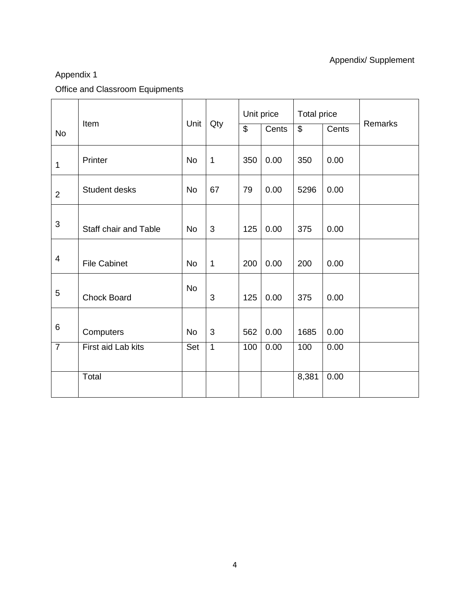### Appendix/ Supplement

## Appendix 1

## Office and Classroom Equipments

|                |                       |           |              |                          | Unit price | <b>Total price</b> |       |         |
|----------------|-----------------------|-----------|--------------|--------------------------|------------|--------------------|-------|---------|
| <b>No</b>      | Item                  | Unit      | Qty          | $\overline{\mathcal{S}}$ | Cents      | $\mathbb{S}$       | Cents | Remarks |
| 1              | Printer               | <b>No</b> | $\mathbf{1}$ | 350                      | 0.00       | 350                | 0.00  |         |
| $\overline{2}$ | Student desks         | <b>No</b> | 67           | 79                       | 0.00       | 5296               | 0.00  |         |
| $\sqrt{3}$     | Staff chair and Table | <b>No</b> | 3            | 125                      | 0.00       | 375                | 0.00  |         |
| 4              | <b>File Cabinet</b>   | <b>No</b> | $\mathbf{1}$ | 200                      | 0.00       | 200                | 0.00  |         |
| 5              | <b>Chock Board</b>    | <b>No</b> | 3            | 125                      | 0.00       | 375                | 0.00  |         |
| 6              | Computers             | <b>No</b> | 3            | 562                      | 0.00       | 1685               | 0.00  |         |
| $\overline{7}$ | First aid Lab kits    | Set       | $\mathbf{1}$ | 100                      | 0.00       | 100                | 0.00  |         |
|                | Total                 |           |              |                          |            | 8,381              | 0.00  |         |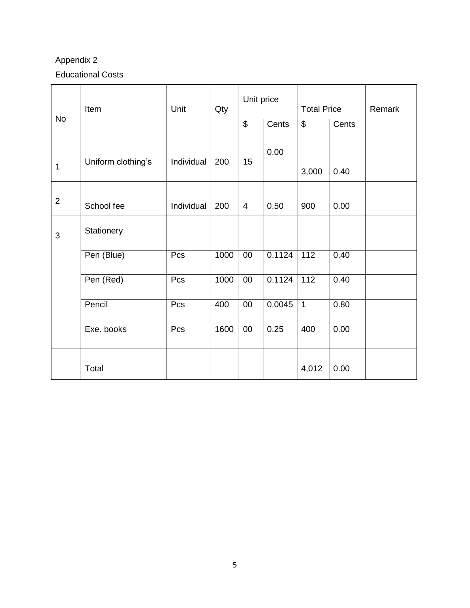### Appendix 2

### Educational Costs

|                | Item               | Unit       | Qty  | Unit price               |        | <b>Total Price</b> |       | Remark |
|----------------|--------------------|------------|------|--------------------------|--------|--------------------|-------|--------|
| <b>No</b>      |                    |            |      | $\overline{\mathcal{S}}$ | Cents  | \$                 | Cents |        |
| 1              | Uniform clothing's | Individual | 200  | 15                       | 0.00   | 3,000              | 0.40  |        |
| $\overline{2}$ | School fee         | Individual | 200  | $\overline{4}$           | 0.50   | 900                | 0.00  |        |
| 3              | Stationery         |            |      |                          |        |                    |       |        |
|                | Pen (Blue)         | Pcs        | 1000 | $00\,$                   | 0.1124 | 112                | 0.40  |        |
|                | Pen (Red)          | Pcs        | 1000 | $00\,$                   | 0.1124 | 112                | 0.40  |        |
|                | Pencil             | Pcs        | 400  | $00\,$                   | 0.0045 | $\overline{1}$     | 0.80  |        |
|                | Exe. books         | Pcs        | 1600 | $00\,$                   | 0.25   | 400                | 0.00  |        |
|                | Total              |            |      |                          |        | 4,012              | 0.00  |        |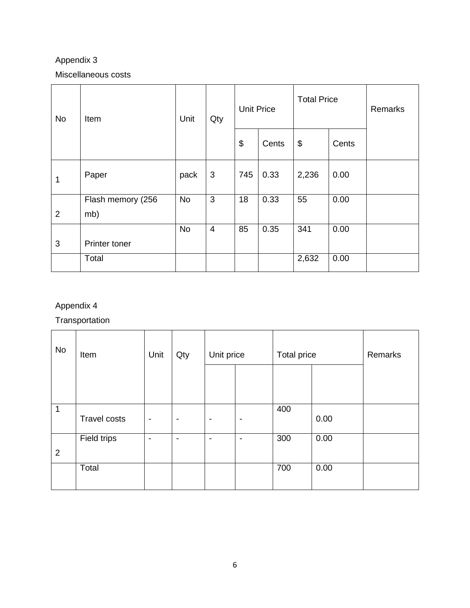### Appendix 3

#### Miscellaneous costs

| <b>No</b>      | Item                     | Unit<br>Qty |                | <b>Unit Price</b>     |       | <b>Total Price</b> |       | Remarks |
|----------------|--------------------------|-------------|----------------|-----------------------|-------|--------------------|-------|---------|
|                |                          |             |                | $\boldsymbol{\theta}$ | Cents | \$                 | Cents |         |
| 1              | Paper                    | pack        | 3              | 745                   | 0.33  | 2,236              | 0.00  |         |
| $\overline{2}$ | Flash memory (256<br>mb) | <b>No</b>   | 3              | 18                    | 0.33  | 55                 | 0.00  |         |
| 3              | Printer toner            | <b>No</b>   | $\overline{4}$ | 85                    | 0.35  | 341                | 0.00  |         |
|                | Total                    |             |                |                       |       | 2,632              | 0.00  |         |

## Appendix 4

**Transportation** 

| <b>No</b> | Item                | Unit                     | Qty                      | Unit price               |                          | Total price | Remarks |  |
|-----------|---------------------|--------------------------|--------------------------|--------------------------|--------------------------|-------------|---------|--|
|           |                     |                          |                          |                          |                          |             |         |  |
| 1         | <b>Travel costs</b> | $\overline{\phantom{a}}$ | $\overline{\phantom{a}}$ | $\overline{\phantom{a}}$ | $\overline{\phantom{a}}$ | 400         | 0.00    |  |
| 2         | Field trips         | -                        | -                        | $\overline{\phantom{a}}$ | $\overline{\phantom{a}}$ | 300         | 0.00    |  |
|           | Total               |                          |                          |                          |                          | 700         | 0.00    |  |